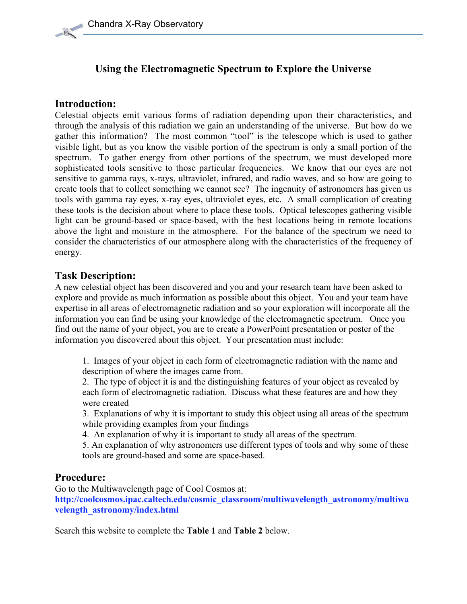## Using the Electromagnetic Spectrum to Explore the Universe

### Introduction:

Celestial objects emit various forms of radiation depending upon their characteristics, and through the analysis of this radiation we gain an understanding of the universe. But how do we gather this information? The most common "tool" is the telescope which is used to gather visible light, but as you know the visible portion of the spectrum is only a small portion of the spectrum. To gather energy from other portions of the spectrum, we must developed more sophisticated tools sensitive to those particular frequencies. We know that our eyes are not sensitive to gamma rays, x-rays, ultraviolet, infrared, and radio waves, and so how are going to create tools that to collect something we cannot see? The ingenuity of astronomers has given us tools with gamma ray eyes, x-ray eyes, ultraviolet eyes, etc. A small complication of creating these tools is the decision about where to place these tools. Optical telescopes gathering visible light can be ground-based or space-based, with the best locations being in remote locations above the light and moisture in the atmosphere. For the balance of the spectrum we need to consider the characteristics of our atmosphere along with the characteristics of the frequency of energy.

#### Task Description:

A new celestial object has been discovered and you and your research team have been asked to explore and provide as much information as possible about this object. You and your team have expertise in all areas of electromagnetic radiation and so your exploration will incorporate all the information you can find be using your knowledge of the electromagnetic spectrum. Once you find out the name of your object, you are to create a PowerPoint presentation or poster of the information you discovered about this object. Your presentation must include:

1. Images of your object in each form of electromagnetic radiation with the name and description of where the images came from.

2. The type of object it is and the distinguishing features of your object as revealed by each form of electromagnetic radiation. Discuss what these features are and how they were created

3. Explanations of why it is important to study this object using all areas of the spectrum while providing examples from your findings

4. An explanation of why it is important to study all areas of the spectrum.

5. An explanation of why astronomers use different types of tools and why some of these tools are ground-based and some are space-based.

#### Procedure:

Go to the Multiwavelength page of Cool Cosmos at:

http://coolcosmos.ipac.caltech.edu/cosmic\_classroom/multiwavelength\_astronomy/multiwa velength\_astronomy/index.html

Search this website to complete the Table 1 and Table 2 below.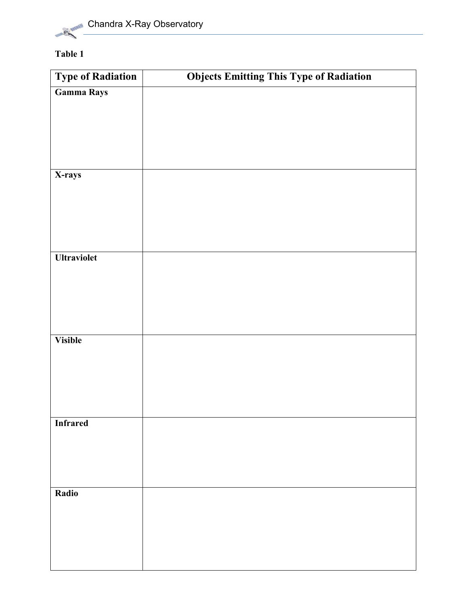

## Table 1

| <b>Objects Emitting This Type of Radiation</b> |
|------------------------------------------------|
|                                                |
|                                                |
|                                                |
|                                                |
|                                                |
|                                                |
|                                                |
|                                                |
|                                                |
|                                                |
|                                                |
|                                                |
|                                                |
|                                                |
|                                                |
|                                                |
|                                                |
|                                                |
|                                                |
|                                                |
|                                                |
|                                                |
|                                                |
|                                                |
|                                                |
|                                                |
|                                                |
|                                                |
|                                                |
|                                                |